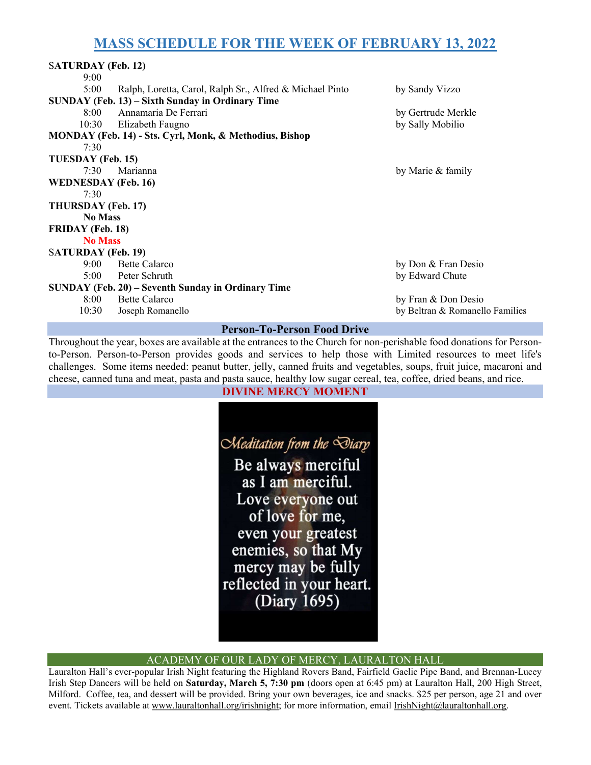# MASS SCHEDULE FOR THE WEEK OF FEBRUARY 13, 2022

| <b>SATURDAY</b> (Feb. 12)                               |                                                          |                                 |
|---------------------------------------------------------|----------------------------------------------------------|---------------------------------|
| 9:00                                                    |                                                          |                                 |
| 5:00                                                    | Ralph, Loretta, Carol, Ralph Sr., Alfred & Michael Pinto | by Sandy Vizzo                  |
| SUNDAY (Feb. 13) – Sixth Sunday in Ordinary Time        |                                                          |                                 |
| 8:00                                                    | Annamaria De Ferrari                                     | by Gertrude Merkle              |
| 10:30                                                   | Elizabeth Faugno                                         | by Sally Mobilio                |
| MONDAY (Feb. 14) - Sts. Cyrl, Monk, & Methodius, Bishop |                                                          |                                 |
| 7:30                                                    |                                                          |                                 |
| TUESDAY (Feb. 15)                                       |                                                          |                                 |
| 7:30                                                    | Marianna                                                 | by Marie & family               |
| <b>WEDNESDAY</b> (Feb. 16)                              |                                                          |                                 |
| 7:30                                                    |                                                          |                                 |
| THURSDAY (Feb. 17)                                      |                                                          |                                 |
| <b>No Mass</b>                                          |                                                          |                                 |
| <b>FRIDAY</b> (Feb. 18)                                 |                                                          |                                 |
| <b>No Mass</b>                                          |                                                          |                                 |
| <b>SATURDAY</b> (Feb. 19)                               |                                                          |                                 |
| 9:00                                                    | <b>Bette Calarco</b>                                     | by Don & Fran Desio             |
| 5:00                                                    | Peter Schruth                                            | by Edward Chute                 |
| SUNDAY (Feb. 20) – Seventh Sunday in Ordinary Time      |                                                          |                                 |
| 8:00                                                    | <b>Bette Calarco</b>                                     | by Fran & Don Desio             |
| 10:30                                                   | Joseph Romanello                                         | by Beltran & Romanello Families |
| <b>Person-To-Person Food Drive</b>                      |                                                          |                                 |

Throughout the year, boxes are available at the entrances to the Church for non-perishable food donations for Personto-Person. Person-to-Person provides goods and services to help those with Limited resources to meet life's challenges. Some items needed: peanut butter, jelly, canned fruits and vegetables, soups, fruit juice, macaroni and cheese, canned tuna and meat, pasta and pasta sauce, healthy low sugar cereal, tea, coffee, dried beans, and rice.

#### DIVINE MERCY MOMENT



#### ACADEMY OF OUR LADY OF MERCY, LAURALTON HALL

Lauralton Hall's ever-popular Irish Night featuring the Highland Rovers Band, Fairfield Gaelic Pipe Band, and Brennan-Lucey Irish Step Dancers will be held on Saturday, March 5, 7:30 pm (doors open at 6:45 pm) at Lauralton Hall, 200 High Street, Milford. Coffee, tea, and dessert will be provided. Bring your own beverages, ice and snacks. \$25 per person, age 21 and over event. Tickets available at www.lauraltonhall.org/irishnight; for more information, email IrishNight@lauraltonhall.org.